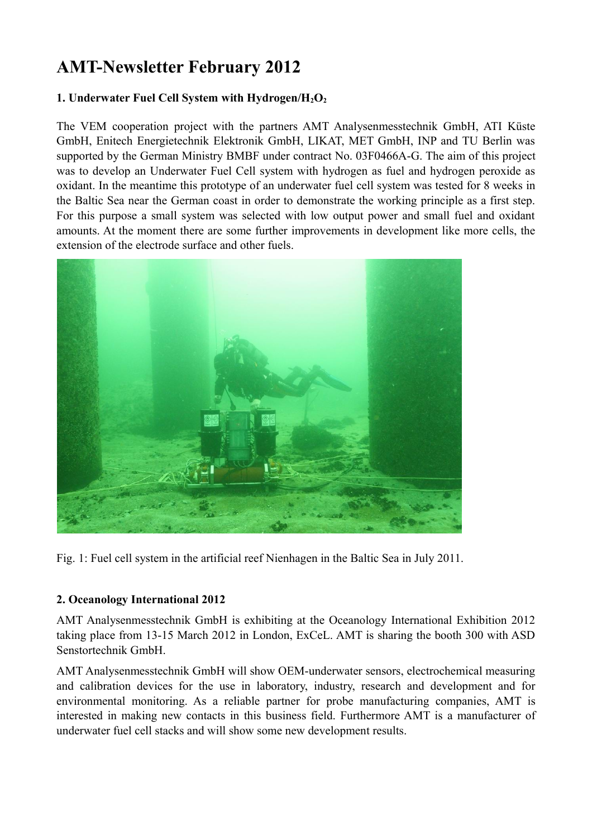## **AMT-Newsletter February 2012**

## **1. Underwater Fuel Cell System with Hydrogen/H2O<sup>2</sup>**

The VEM cooperation project with the partners AMT Analysenmesstechnik GmbH, ATI Küste GmbH, Enitech Energietechnik Elektronik GmbH, LIKAT, MET GmbH, INP and TU Berlin was supported by the German Ministry BMBF under contract No. 03F0466A-G. The aim of this project was to develop an Underwater Fuel Cell system with hydrogen as fuel and hydrogen peroxide as oxidant. In the meantime this prototype of an underwater fuel cell system was tested for 8 weeks in the Baltic Sea near the German coast in order to demonstrate the working principle as a first step. For this purpose a small system was selected with low output power and small fuel and oxidant amounts. At the moment there are some further improvements in development like more cells, the extension of the electrode surface and other fuels.



Fig. 1: Fuel cell system in the artificial reef Nienhagen in the Baltic Sea in July 2011.

## **2. Oceanology International 2012**

AMT Analysenmesstechnik GmbH is exhibiting at the Oceanology International Exhibition 2012 taking place from 13-15 March 2012 in London, ExCeL. AMT is sharing the booth 300 with ASD Senstortechnik GmbH.

AMT Analysenmesstechnik GmbH will show OEM-underwater sensors, electrochemical measuring and calibration devices for the use in laboratory, industry, research and development and for environmental monitoring. As a reliable partner for probe manufacturing companies, AMT is interested in making new contacts in this business field. Furthermore AMT is a manufacturer of underwater fuel cell stacks and will show some new development results.